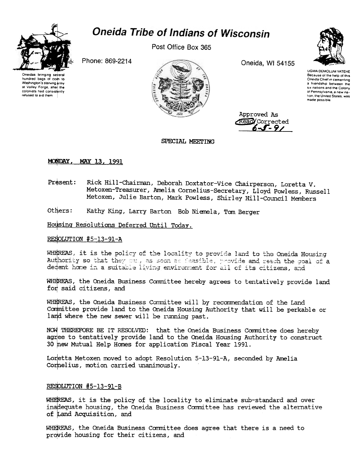

# **Oneida Tribe of Indians of Wisconsin**

Post Office Box 365



Phone: 869-2214





Oneida, WI 54155

**UGWA DEMOLUM YATEHE** Because of the help of this<br>Oneida Chief in cementing a friendship between the six nations and the Colony of Pennsylvania, a new nation, the United States, was made possible

Approved As Read Corrected 6-5-91

### SPECIAL MEETING

## **MONDAY, MAY 13, 1991**

- Present: Rick Hill-Chairman, Deborah Doxtator-Vice Chairperson, Loretta V. Metoxen-Treasurer, Amelia Cornelius-Secretary, Lloyd Powless, Russell Metoxen, Julie Barton, Mark Powless, Shirley Hill-Council Members
- Others: Kathy King, Larry Barton Bob Niemela, Tom Berger

Housing Resolutions Deferred Until Today.

#### RESOLUTION #5-13-91-A

WHEREAS, it is the policy of the locality to provide land to the Oneida Housing Authority so that they can, as soon as feasible, provide and reach the goal of a dedent home in a suitable living environment for all of its citizens, and

WHEREAS, the Oneida Business Committee hereby agrees to tentatively provide land for said citizens, and

WHEREAS, the Oneida Business Committee will by recommendation of the Land Committee provide land to the Oneida Housing Authority that will be perkable or land where the new sewer will be running past.

NOW THEREFORE BE IT RESOLVED: that the Oneida Business Committee does hereby agree to tentatively provide land to the Oneida Housing Authority to construct 30 new Mutual Help Homes for application Fiscal Year 1991.

Loretta Metoxen moved to adopt Resolution 5-13-91-A, seconded by Amelia Cornelius, motion carried unanimously.

## RESOLUTION #5-13-91-B

WHEREAS, it is the policy of the locality to eliminate sub-standard and over inadequate housing, the Oneida Business Committee has reviewed the alternative of Land Acquisition, and

WHEREAS, the Oneida Business Committee does agree that there is a need to provide housing for their citizens, and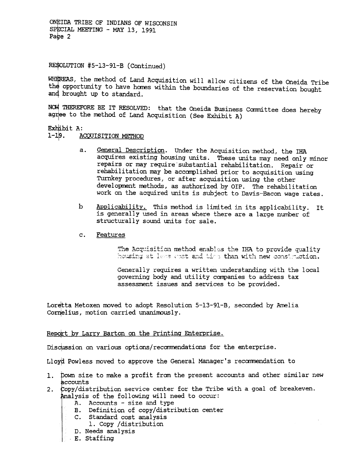ONEIDA TRIBE OF INDIANS OF WISCONSIN SPECIAL MEETING - MAY 13, 1991 Page  $2$ 

RESOLUTION #5-13-91-B (Continued)

WHEREAS, the method of Land Acquisition will allow citizens of the Oneida Tribe the opportunity to have homes within the boundaries of the reservation bought and brought up to standard.

NOW THEREFORE BE IT RESOLVED: that the Oneida Business Committee does hereby agree to the method of Land Acquisition (See Exhibit A)

Exhibit A:

 $1 - 19.$ **ACQUISITION METHOD** 

- General Description. Under the Acquisition method, the IHA a. acquires existing housing units. These units may need only minor repairs or may require substantial rehabilitation. Repair or rehabilitation may be accomplished prior to acquisition using Turnkey procedures, or after acquisition using the other development methods, as authorized by OIP. The rehabilitation work on the acquired units is subject to Davis-Bacon wage rates.
- $\mathbf b$ Applicability. This method is limited in its applicability. It is generally used in areas where there are a large number of structurally sound units for sale.
- Features  $\mathbf{C}$ .

The Acquisition method enables the IHA to provide quality housing at less west and time than with new construction.

Generally requires a written understanding with the local governing body and utility companies to address tax assessment issues and services to be provided.

Loretta Metoxen moved to adopt Resolution 5-13-91-B, seconded by Amelia Cornelius, motion carried unanimously.

#### Report by Larry Barton on the Printing Enterprise.

Discussion on various options/recommendations for the enterprise.

Lloyd Powless moved to approve the General Manager's recommendation to

- 1. Down size to make a profit from the present accounts and other similar new accounts
- 2. Copy/distribution service center for the Tribe with a goal of breakeven.
	- Analysis of the following will need to occur:
		- A. Accounts size and type
		- B. Definition of copy/distribution center
		- C. Standard cost analysis
		- 1. Copy /distribution
		- D. Needs analysis
		- E. Staffing